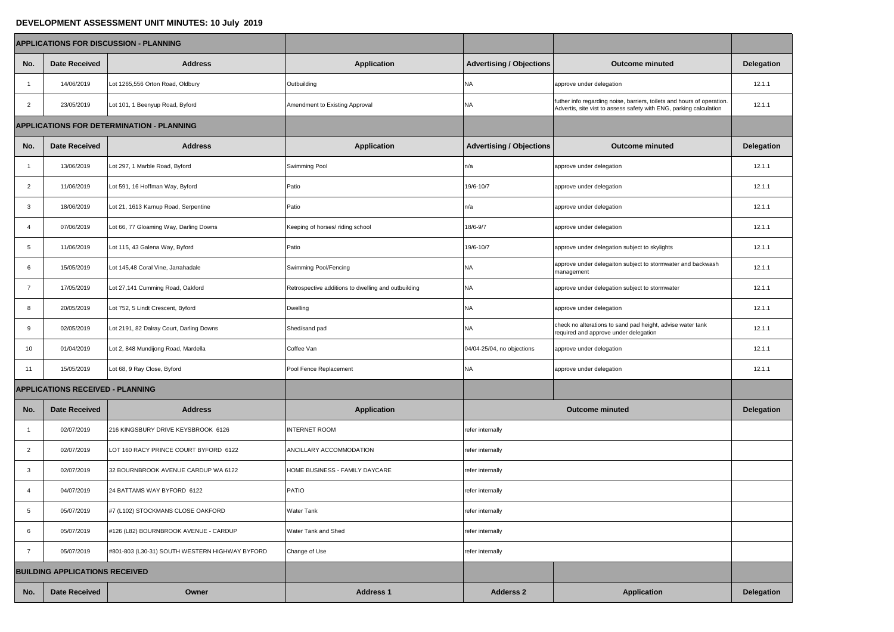## **DEVELOPMENT ASSESSMENT UNIT MINUTES: 10 July 2019**

|                                         |                                       | <b>APPLICATIONS FOR DISCUSSION - PLANNING</b>    |                                                     |                                 |                                                                                                                                              |                   |  |
|-----------------------------------------|---------------------------------------|--------------------------------------------------|-----------------------------------------------------|---------------------------------|----------------------------------------------------------------------------------------------------------------------------------------------|-------------------|--|
| No.                                     | <b>Date Received</b>                  | <b>Address</b>                                   | <b>Application</b>                                  | <b>Advertising / Objections</b> | <b>Outcome minuted</b>                                                                                                                       | <b>Delegation</b> |  |
|                                         | 14/06/2019                            | Lot 1265,556 Orton Road, Oldbury                 | Outbuilding                                         | ΝA                              | approve under delegation                                                                                                                     | 12.1.1            |  |
| $\overline{2}$                          | 23/05/2019                            | Lot 101, 1 Beenyup Road, Byford                  | Amendment to Existing Approval                      | NA.                             | futher info regarding noise, barriers, toilets and hours of operation.<br>Advertis, site vist to assess safety with ENG, parking calculation | 12.1.1            |  |
|                                         |                                       | <b>APPLICATIONS FOR DETERMINATION - PLANNING</b> |                                                     |                                 |                                                                                                                                              |                   |  |
| No.                                     | <b>Date Received</b>                  | <b>Address</b>                                   | <b>Application</b>                                  | <b>Advertising / Objections</b> | <b>Outcome minuted</b>                                                                                                                       | <b>Delegation</b> |  |
|                                         | 13/06/2019                            | Lot 297, 1 Marble Road, Byford                   | Swimming Pool                                       | n/a                             | approve under delegation                                                                                                                     |                   |  |
| $\overline{2}$                          | 11/06/2019                            | Lot 591, 16 Hoffman Way, Byford                  | Patio                                               | 19/6-10/7                       | approve under delegation                                                                                                                     | 12.1.1            |  |
| 3                                       | 18/06/2019                            | Lot 21, 1613 Karnup Road, Serpentine             | Patio                                               | n/a                             | approve under delegation                                                                                                                     | 12.1.1            |  |
|                                         | 07/06/2019                            | Lot 66, 77 Gloaming Way, Darling Downs           | Keeping of horses/ riding school                    | 18/6-9/7                        | approve under delegation                                                                                                                     | 12.1.1            |  |
| 5                                       | 11/06/2019                            | Lot 115, 43 Galena Way, Byford                   | Patio                                               | 19/6-10/7                       | approve under delegation subject to skylights                                                                                                | 12.1.1            |  |
| b                                       | 15/05/2019                            | Lot 145,48 Coral Vine, Jarrahadale               | Swimming Pool/Fencing                               | <b>NA</b>                       | approve under delegaiton subject to stormwater and backwash<br>management                                                                    | 12.1.1            |  |
|                                         | 17/05/2019                            | Lot 27,141 Cumming Road, Oakford                 | Retrospective additions to dwelling and outbuilding | <b>NA</b>                       | approve under delegation subject to stormwater                                                                                               | 12.1.1            |  |
| 8                                       | 20/05/2019                            | Lot 752, 5 Lindt Crescent, Byford                | Dwelling                                            | <b>NA</b>                       | approve under delegation                                                                                                                     | 12.1.1            |  |
| 9                                       | 02/05/2019                            | Lot 2191, 82 Dalray Court, Darling Downs         | Shed/sand pad                                       | <b>NA</b>                       | check no alterations to sand pad height, advise water tank<br>required and approve under delegation                                          | 12.1.1            |  |
| 10                                      | 01/04/2019                            | Lot 2, 848 Mundijong Road, Mardella              | Coffee Van                                          | 04/04-25/04, no objections      | approve under delegation                                                                                                                     | 12.1.1            |  |
| 11                                      | 15/05/2019                            | Lot 68, 9 Ray Close, Byford                      | Pool Fence Replacement                              | NA                              | approve under delegation                                                                                                                     | 12.1.1            |  |
| <b>APPLICATIONS RECEIVED - PLANNING</b> |                                       |                                                  |                                                     |                                 |                                                                                                                                              |                   |  |
| No.                                     | <b>Date Received</b>                  | <b>Address</b>                                   | <b>Application</b>                                  |                                 | <b>Outcome minuted</b>                                                                                                                       | <b>Delegation</b> |  |
|                                         | 02/07/2019                            | 216 KINGSBURY DRIVE KEYSBROOK 6126               | <b>INTERNET ROOM</b>                                | refer internally                |                                                                                                                                              |                   |  |
| $\overline{2}$                          | 02/07/2019                            | LOT 160 RACY PRINCE COURT BYFORD 6122            | <b>ANCILLARY ACCOMMODATION</b>                      | refer internally                |                                                                                                                                              |                   |  |
| $\mathbf{3}$                            | 02/07/2019                            | 32 BOURNBROOK AVENUE CARDUP WA 6122              | HOME BUSINESS - FAMILY DAYCARE                      | refer internally                |                                                                                                                                              |                   |  |
|                                         | 04/07/2019                            | 24 BATTAMS WAY BYFORD 6122                       | PATIO                                               | refer internally                |                                                                                                                                              |                   |  |
| 5                                       | 05/07/2019                            | #7 (L102) STOCKMANS CLOSE OAKFORD                | <b>Water Tank</b>                                   | refer internally                |                                                                                                                                              |                   |  |
| 6                                       | 05/07/2019                            | #126 (L82) BOURNBROOK AVENUE - CARDUP            | <b>Water Tank and Shed</b>                          | refer internally                |                                                                                                                                              |                   |  |
|                                         | 05/07/2019                            | #801-803 (L30-31) SOUTH WESTERN HIGHWAY BYFORD   | Change of Use                                       | refer internally                |                                                                                                                                              |                   |  |
|                                         | <b>BUILDING APPLICATIONS RECEIVED</b> |                                                  |                                                     |                                 |                                                                                                                                              |                   |  |
| No.                                     | <b>Date Received</b>                  | Owner                                            | <b>Address 1</b>                                    | <b>Adderss 2</b>                | <b>Application</b>                                                                                                                           | <b>Delegation</b> |  |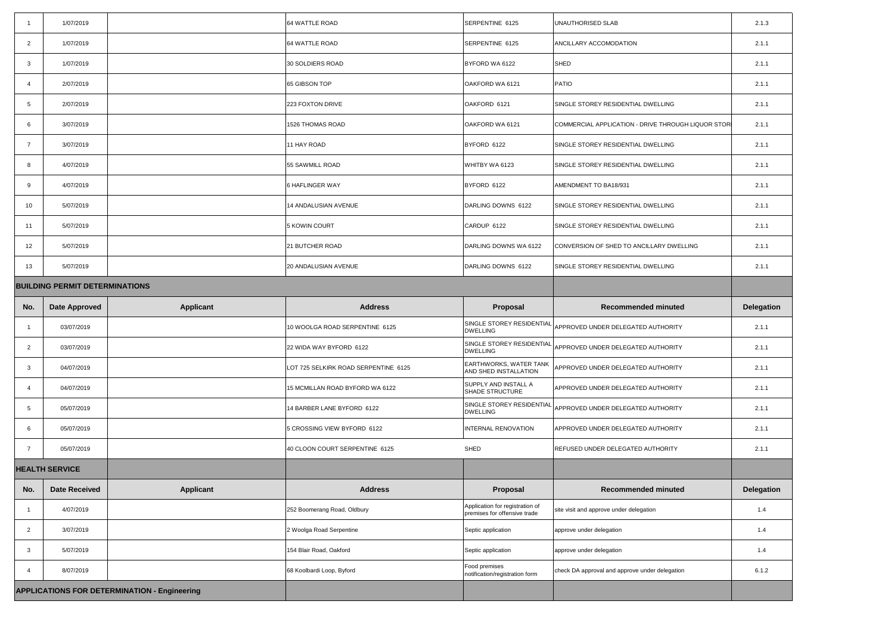|                 | 1/07/2019                                           |                  | 64 WATTLE ROAD                       | SERPENTINE 6125                                                 | <b>UNAUTHORISED SLAB</b>                                                                   | 2.1.3             |
|-----------------|-----------------------------------------------------|------------------|--------------------------------------|-----------------------------------------------------------------|--------------------------------------------------------------------------------------------|-------------------|
| $\overline{2}$  | 1/07/2019                                           |                  | 64 WATTLE ROAD                       | SERPENTINE 6125                                                 | <b>ANCILLARY ACCOMODATION</b>                                                              | 2.1.1             |
| $\mathbf{3}$    | 1/07/2019                                           |                  | 30 SOLDIERS ROAD                     | BYFORD WA 6122                                                  | SHED                                                                                       | 2.1.1             |
|                 | 2/07/2019                                           |                  | 65 GIBSON TOP                        | OAKFORD WA 6121                                                 | PATIO                                                                                      | 2.1.1             |
|                 |                                                     |                  |                                      |                                                                 |                                                                                            |                   |
| $5\overline{)}$ | 2/07/2019                                           |                  | 223 FOXTON DRIVE                     | OAKFORD 6121                                                    | SINGLE STOREY RESIDENTIAL DWELLING                                                         | 2.1.1             |
| 6               | 3/07/2019                                           |                  | 1526 THOMAS ROAD                     | OAKFORD WA 6121                                                 | COMMERCIAL APPLICATION - DRIVE THROUGH LIQUOR STOR                                         | 2.1.1             |
|                 | 3/07/2019                                           |                  | 11 HAY ROAD                          | BYFORD 6122                                                     | SINGLE STOREY RESIDENTIAL DWELLING                                                         | 2.1.1             |
| 8               | 4/07/2019                                           |                  | 55 SAWMILL ROAD                      | WHITBY WA 6123                                                  | SINGLE STOREY RESIDENTIAL DWELLING                                                         | 2.1.1             |
| 9               | 4/07/2019                                           |                  | 6 HAFLINGER WAY                      | BYFORD 6122                                                     | AMENDMENT TO BA18/931                                                                      | 2.1.1             |
| 10 <sup>1</sup> | 5/07/2019                                           |                  | 14 ANDALUSIAN AVENUE                 | DARLING DOWNS 6122                                              | SINGLE STOREY RESIDENTIAL DWELLING                                                         | 2.1.1             |
| 11              | 5/07/2019                                           |                  | 5 KOWIN COURT                        | CARDUP 6122                                                     | SINGLE STOREY RESIDENTIAL DWELLING                                                         | 2.1.1             |
| 12              | 5/07/2019                                           |                  | 21 BUTCHER ROAD                      | DARLING DOWNS WA 6122                                           | CONVERSION OF SHED TO ANCILLARY DWELLING                                                   | 2.1.1             |
| 13              | 5/07/2019                                           |                  | <b>20 ANDALUSIAN AVENUE</b>          | DARLING DOWNS 6122                                              | SINGLE STOREY RESIDENTIAL DWELLING                                                         | 2.1.1             |
|                 | <b>BUILDING PERMIT DETERMINATIONS</b>               |                  |                                      |                                                                 |                                                                                            |                   |
| No.             | <b>Date Approved</b>                                | <b>Applicant</b> | <b>Address</b>                       | <b>Proposal</b>                                                 | <b>Recommended minuted</b>                                                                 | <b>Delegation</b> |
|                 | 03/07/2019                                          |                  | 10 WOOLGA ROAD SERPENTINE 6125       | <b>DWELLING</b>                                                 | $\big  \text{SINGLE STOREY RESIDENTIAL} \big _{\text{APPROVED UNDER DELEGATED AUTHORITY}}$ | 2.1.1             |
| $\overline{2}$  | 03/07/2019                                          |                  | 22 WIDA WAY BYFORD 6122              | <b>DWELLING</b>                                                 | $\big  \text{SINGLE STOREY RESIDENTIAL} \big  \text{APPROVED UNDER DELEGATED AUTHORITY}$   | 2.1.1             |
| -3              | 04/07/2019                                          |                  | LOT 725 SELKIRK ROAD SERPENTINE 6125 | <b>EARTHWORKS, WATER TANK</b><br>AND SHED INSTALLATION          | APPROVED UNDER DELEGATED AUTHORITY                                                         | 2.1.1             |
|                 | 04/07/2019                                          |                  | 15 MCMILLAN ROAD BYFORD WA 6122      | SUPPLY AND INSTALL A<br>SHADE STRUCTURE                         | APPROVED UNDER DELEGATED AUTHORITY                                                         | 2.1.1             |
| $5\overline{)}$ | 05/07/2019                                          |                  | 14 BARBER LANE BYFORD 6122           | <b>DWELLING</b>                                                 | $\big  \text{SINGLE STOREY RESIDENTIAL} \big  \text{APPROVED UNDER DELEGATED AUTHORITY}$   | 2.1.1             |
| 6               | 05/07/2019                                          |                  | 5 CROSSING VIEW BYFORD 6122          | INTERNAL RENOVATION                                             | APPROVED UNDER DELEGATED AUTHORITY                                                         | 2.1.1             |
| $\overline{7}$  | 05/07/2019                                          |                  | 40 CLOON COURT SERPENTINE 6125       | SHED                                                            | REFUSED UNDER DELEGATED AUTHORITY                                                          | 2.1.1             |
|                 | <b>HEALTH SERVICE</b>                               |                  |                                      |                                                                 |                                                                                            |                   |
| No.             | <b>Date Received</b>                                | <b>Applicant</b> | <b>Address</b>                       | Proposal                                                        | <b>Recommended minuted</b>                                                                 | <b>Delegation</b> |
|                 | 4/07/2019                                           |                  | 252 Boomerang Road, Oldbury          | Application for registration of<br>premises for offensive trade | site visit and approve under delegation                                                    | 1.4               |
| $\overline{2}$  | 3/07/2019                                           |                  | 2 Woolga Road Serpentine             | Septic application                                              | approve under delegation                                                                   | 1.4               |
| $\mathbf{3}$    | 5/07/2019                                           |                  | 154 Blair Road, Oakford              | Septic application                                              | approve under delegation                                                                   | 1.4               |
|                 | 8/07/2019                                           |                  | 68 Koolbardi Loop, Byford            | Food premises<br>notification/registration form                 | check DA approval and approve under delegation                                             | 6.1.2             |
|                 |                                                     |                  |                                      |                                                                 |                                                                                            |                   |
|                 | <b>APPLICATIONS FOR DETERMINATION - Engineering</b> |                  |                                      |                                                                 |                                                                                            |                   |